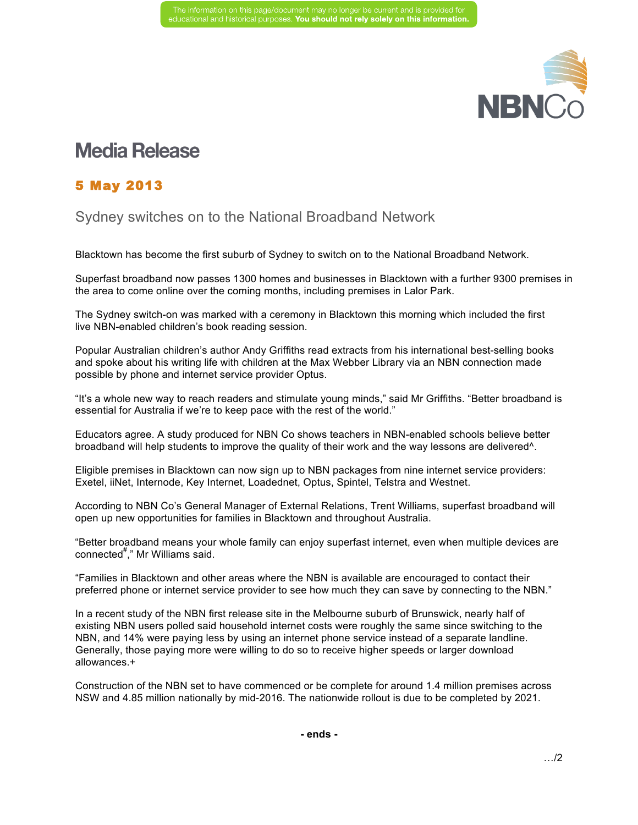

## **Media Release**

## 5 May 2013

## Sydney switches on to the National Broadband Network

Blacktown has become the first suburb of Sydney to switch on to the National Broadband Network.

Superfast broadband now passes 1300 homes and businesses in Blacktown with a further 9300 premises in the area to come online over the coming months, including premises in Lalor Park.

The Sydney switch-on was marked with a ceremony in Blacktown this morning which included the first live NBN-enabled children's book reading session.

Popular Australian children's author Andy Griffiths read extracts from his international best-selling books and spoke about his writing life with children at the Max Webber Library via an NBN connection made possible by phone and internet service provider Optus.

"It's a whole new way to reach readers and stimulate young minds," said Mr Griffiths. "Better broadband is essential for Australia if we're to keep pace with the rest of the world."

Educators agree. A study produced for NBN Co shows teachers in NBN-enabled schools believe better broadband will help students to improve the quality of their work and the way lessons are delivered^.

Eligible premises in Blacktown can now sign up to NBN packages from nine internet service providers: Exetel, iiNet, Internode, Key Internet, Loadednet, Optus, Spintel, Telstra and Westnet.

According to NBN Co's General Manager of External Relations, Trent Williams, superfast broadband will open up new opportunities for families in Blacktown and throughout Australia.

"Better broadband means your whole family can enjoy superfast internet, even when multiple devices are connected<sup>#</sup>," Mr Williams said.

"Families in Blacktown and other areas where the NBN is available are encouraged to contact their preferred phone or internet service provider to see how much they can save by connecting to the NBN."

In a recent study of the NBN first release site in the Melbourne suburb of Brunswick, nearly half of existing NBN users polled said household internet costs were roughly the same since switching to the NBN, and 14% were paying less by using an internet phone service instead of a separate landline. Generally, those paying more were willing to do so to receive higher speeds or larger download allowances.+

Construction of the NBN set to have commenced or be complete for around 1.4 million premises across NSW and 4.85 million nationally by mid-2016. The nationwide rollout is due to be completed by 2021.